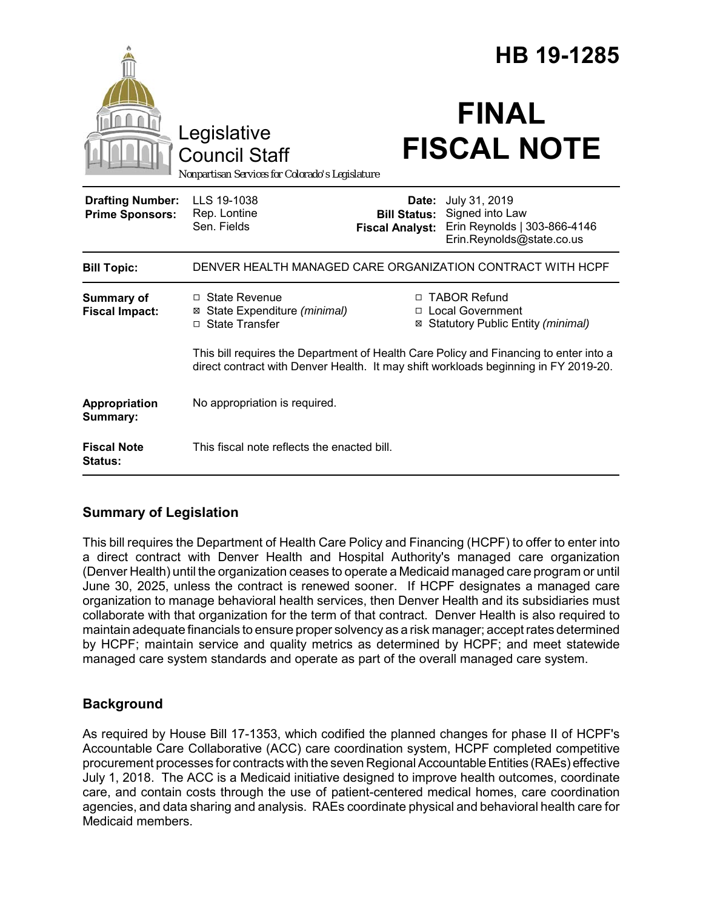|                                                   |                                                                                                                                                                              | HB 19-1285                                    |                                                                                                     |
|---------------------------------------------------|------------------------------------------------------------------------------------------------------------------------------------------------------------------------------|-----------------------------------------------|-----------------------------------------------------------------------------------------------------|
|                                                   | Legislative<br><b>Council Staff</b><br>Nonpartisan Services for Colorado's Legislature                                                                                       |                                               | <b>FINAL</b><br><b>FISCAL NOTE</b>                                                                  |
| <b>Drafting Number:</b><br><b>Prime Sponsors:</b> | LLS 19-1038<br>Rep. Lontine<br>Sen. Fields                                                                                                                                   | <b>Bill Status:</b><br><b>Fiscal Analyst:</b> | Date: July 31, 2019<br>Signed into Law<br>Erin Reynolds   303-866-4146<br>Erin.Reynolds@state.co.us |
| <b>Bill Topic:</b>                                | DENVER HEALTH MANAGED CARE ORGANIZATION CONTRACT WITH HCPF                                                                                                                   |                                               |                                                                                                     |
| Summary of<br><b>Fiscal Impact:</b>               | $\Box$ State Revenue<br>⊠ State Expenditure (minimal)<br>□ State Transfer                                                                                                    |                                               | □ TABOR Refund<br>□ Local Government<br>⊠ Statutory Public Entity (minimal)                         |
|                                                   | This bill requires the Department of Health Care Policy and Financing to enter into a<br>direct contract with Denver Health. It may shift workloads beginning in FY 2019-20. |                                               |                                                                                                     |
| Appropriation<br>Summary:                         | No appropriation is required.                                                                                                                                                |                                               |                                                                                                     |
| <b>Fiscal Note</b><br><b>Status:</b>              | This fiscal note reflects the enacted bill.                                                                                                                                  |                                               |                                                                                                     |

## **Summary of Legislation**

This bill requires the Department of Health Care Policy and Financing (HCPF) to offer to enter into a direct contract with Denver Health and Hospital Authority's managed care organization (Denver Health) until the organization ceases to operate a Medicaid managed care program or until June 30, 2025, unless the contract is renewed sooner. If HCPF designates a managed care organization to manage behavioral health services, then Denver Health and its subsidiaries must collaborate with that organization for the term of that contract. Denver Health is also required to maintain adequate financials to ensure proper solvency as a risk manager; accept rates determined by HCPF; maintain service and quality metrics as determined by HCPF; and meet statewide managed care system standards and operate as part of the overall managed care system.

# **Background**

As required by House Bill 17-1353, which codified the planned changes for phase II of HCPF's Accountable Care Collaborative (ACC) care coordination system, HCPF completed competitive procurement processes for contracts with the seven Regional Accountable Entities (RAEs) effective July 1, 2018. The ACC is a Medicaid initiative designed to improve health outcomes, coordinate care, and contain costs through the use of patient-centered medical homes, care coordination agencies, and data sharing and analysis. RAEs coordinate physical and behavioral health care for Medicaid members.